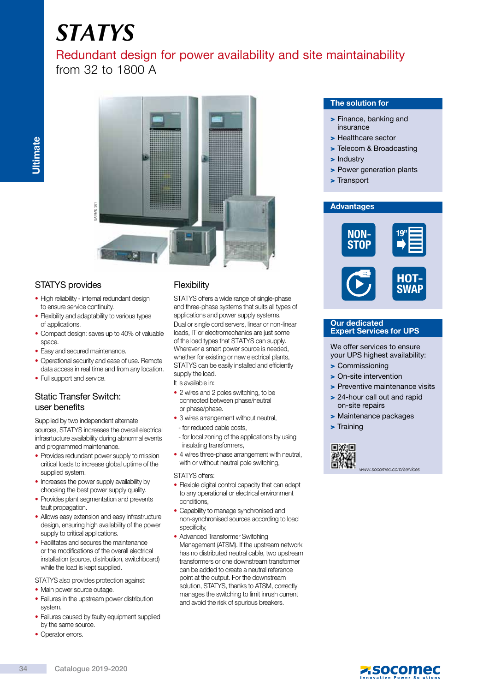# *STATYS*

## Redundant design for power availability and site maintainability from 32 to 1800 A



## STATYS provides

- High reliability internal redundant design to ensure service continuity.
- Flexibility and adaptability to various types of applications.
- Compact design: saves up to 40% of valuable space.
- Easy and secured maintenance.
- Operational security and ease of use. Remote data access in real time and from any location.
- Full support and service.

## Static Transfer Switch: user benefits

Supplied by two independent alternate sources, STATYS increases the overall electrical infrasrtucture availability during abnormal events and programmed maintenance.

- Provides redundant power supply to mission critical loads to increase global uptime of the supplied system.
- Increases the power supply availability by choosing the best power supply quality.
- Provides plant segmentation and prevents fault propagation.
- Allows easy extension and easy infrastructure design, ensuring high availability of the power supply to critical applications.
- Facilitates and secures the maintenance or the modifications of the overall electrical installation (source, distribution, switchboard) while the load is kept supplied.

STATYS also provides protection against:

- Main power source outage.
- Failures in the upstream power distribution system.
- Failures caused by faulty equipment supplied by the same source.
- Operator errors.

## **Flexibility**

STATYS offers a wide range of single-phase and three-phase systems that suits all types of applications and power supply systems. Dual or single cord servers, linear or non-linear loads, IT or electromechanics are just some of the load types that STATYS can supply. Wherever a smart power source is needed, whether for existing or new electrical plants, STATYS can be easily installed and efficiently supply the load.

It is available in:

- 2 wires and 2 poles switching, to be connected between phase/neutral or phase/phase.
- 3 wires arrangement without neutral, - for reduced cable costs,
- for local zoning of the applications by using insulating transformers,
- 4 wires three-phase arrangement with neutral, with or without neutral pole switching,

STATYS offers:

- Flexible digital control capacity that can adapt to any operational or electrical environment conditions,
- Capability to manage synchronised and non-synchronised sources according to load specificity,
- Advanced Transformer Switching Management (ATSM). If the upstream network has no distributed neutral cable, two upstream transformers or one downstream transformer can be added to create a neutral reference point at the output. For the downstream solution, STATYS, thanks to ATSM, correctly manages the switching to limit inrush current and avoid the risk of spurious breakers.

#### The solution for

- > Finance, banking and insurance
- > Healthcare sector
- > Telecom & Broadcasting
- > Industry
- > Power generation plants
- > Transport

#### **Advantages**



#### Our dedicated Expert Services for UPS

We offer services to ensure your UPS highest availability:

- > Commissioning
- > On-site intervention
- > Preventive maintenance visits
- > 24-hour call out and rapid on-site repairs
- > Maintenance packages
- > Training



www.socomec.com/services